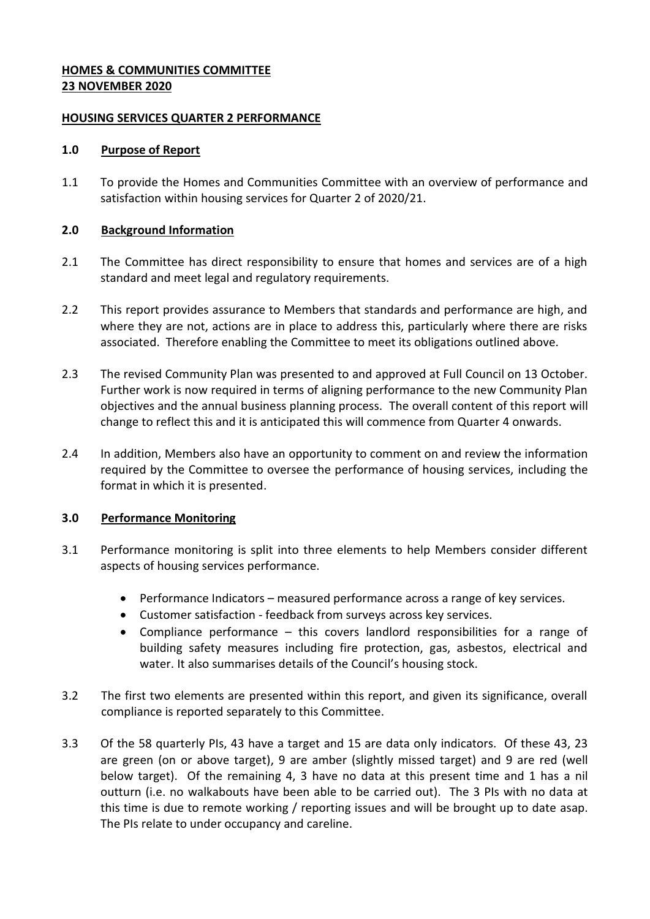## **HOMES & COMMUNITIES COMMITTEE 23 NOVEMBER 2020**

#### **HOUSING SERVICES QUARTER 2 PERFORMANCE**

### **1.0 Purpose of Report**

1.1 To provide the Homes and Communities Committee with an overview of performance and satisfaction within housing services for Quarter 2 of 2020/21.

## **2.0 Background Information**

- 2.1 The Committee has direct responsibility to ensure that homes and services are of a high standard and meet legal and regulatory requirements.
- 2.2 This report provides assurance to Members that standards and performance are high, and where they are not, actions are in place to address this, particularly where there are risks associated. Therefore enabling the Committee to meet its obligations outlined above.
- 2.3 The revised Community Plan was presented to and approved at Full Council on 13 October. Further work is now required in terms of aligning performance to the new Community Plan objectives and the annual business planning process. The overall content of this report will change to reflect this and it is anticipated this will commence from Quarter 4 onwards.
- 2.4 In addition, Members also have an opportunity to comment on and review the information required by the Committee to oversee the performance of housing services, including the format in which it is presented.

# **3.0 Performance Monitoring**

- 3.1 Performance monitoring is split into three elements to help Members consider different aspects of housing services performance.
	- Performance Indicators measured performance across a range of key services.
	- Customer satisfaction feedback from surveys across key services.
	- Compliance performance this covers landlord responsibilities for a range of building safety measures including fire protection, gas, asbestos, electrical and water. It also summarises details of the Council's housing stock.
- 3.2 The first two elements are presented within this report, and given its significance, overall compliance is reported separately to this Committee.
- 3.3 Of the 58 quarterly PIs, 43 have a target and 15 are data only indicators. Of these 43, 23 are green (on or above target), 9 are amber (slightly missed target) and 9 are red (well below target). Of the remaining 4, 3 have no data at this present time and 1 has a nil outturn (i.e. no walkabouts have been able to be carried out). The 3 PIs with no data at this time is due to remote working / reporting issues and will be brought up to date asap. The PIs relate to under occupancy and careline.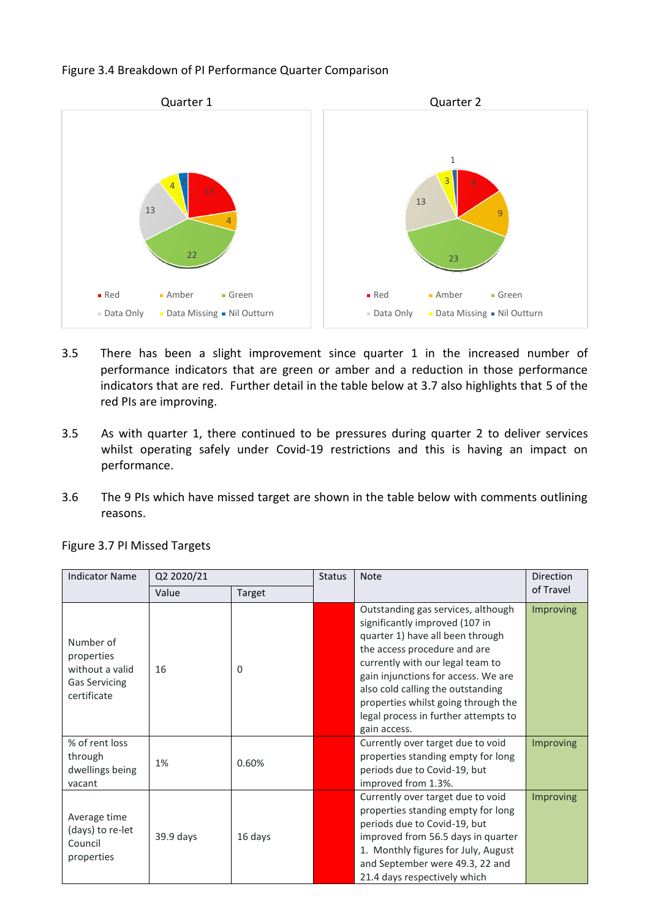#### Figure 3.4 Breakdown of PI Performance Quarter Comparison



- 3.5 There has been a slight improvement since quarter 1 in the increased number of performance indicators that are green or amber and a reduction in those performance indicators that are red. Further detail in the table below at 3.7 also highlights that 5 of the red PIs are improving.
- 3.5 As with quarter 1, there continued to be pressures during quarter 2 to deliver services whilst operating safely under Covid-19 restrictions and this is having an impact on performance.
- 3.6 The 9 PIs which have missed target are shown in the table below with comments outlining reasons.

| <b>Indicator Name</b>                                                             | Q2 2020/21 |          | <b>Status</b> | <b>Note</b>                                                                                                                                                                                                                                                                                                                                             | Direction        |
|-----------------------------------------------------------------------------------|------------|----------|---------------|---------------------------------------------------------------------------------------------------------------------------------------------------------------------------------------------------------------------------------------------------------------------------------------------------------------------------------------------------------|------------------|
|                                                                                   | Value      | Target   |               |                                                                                                                                                                                                                                                                                                                                                         | of Travel        |
| Number of<br>properties<br>without a valid<br><b>Gas Servicing</b><br>certificate | 16         | $\Omega$ |               | Outstanding gas services, although<br>significantly improved (107 in<br>quarter 1) have all been through<br>the access procedure and are<br>currently with our legal team to<br>gain injunctions for access. We are<br>also cold calling the outstanding<br>properties whilst going through the<br>legal process in further attempts to<br>gain access. | <b>Improving</b> |
| % of rent loss<br>through<br>dwellings being<br>vacant                            | 1%         | 0.60%    |               | Currently over target due to void<br>properties standing empty for long<br>periods due to Covid-19, but<br>improved from 1.3%.                                                                                                                                                                                                                          | Improving        |
| Average time<br>(days) to re-let<br>Council<br>properties                         | 39.9 days  | 16 days  |               | Currently over target due to void<br>properties standing empty for long<br>periods due to Covid-19, but<br>improved from 56.5 days in quarter<br>1. Monthly figures for July, August<br>and September were 49.3, 22 and<br>21.4 days respectively which                                                                                                 | <b>Improving</b> |

Figure 3.7 PI Missed Targets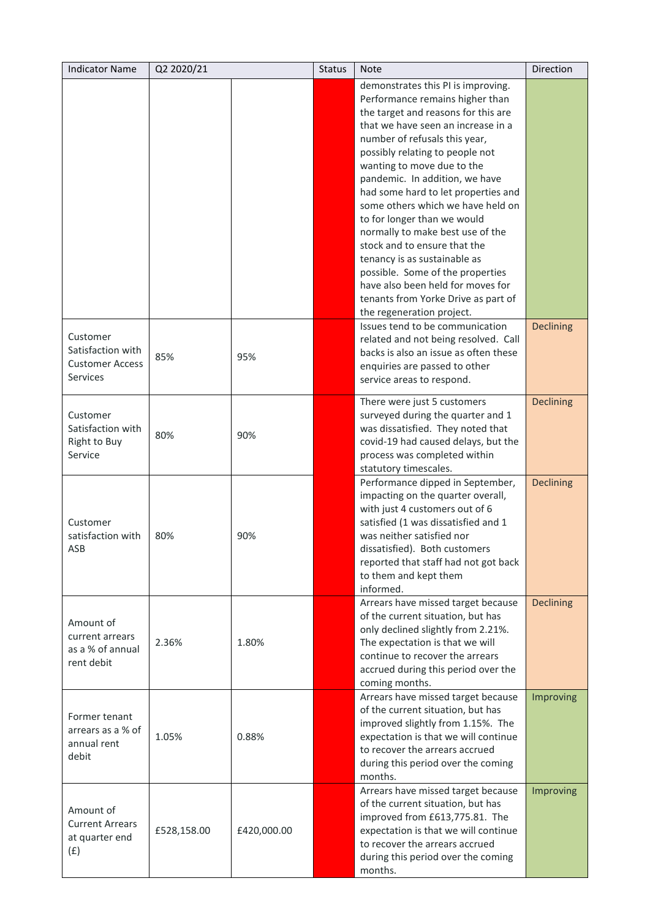| <b>Indicator Name</b>                                                      | Q2 2020/21  |             | <b>Status</b> | <b>Note</b>                                                                                                                                                                                                                                                                                                                                                                                                                                                                                                                                                                                                                                        | <b>Direction</b> |
|----------------------------------------------------------------------------|-------------|-------------|---------------|----------------------------------------------------------------------------------------------------------------------------------------------------------------------------------------------------------------------------------------------------------------------------------------------------------------------------------------------------------------------------------------------------------------------------------------------------------------------------------------------------------------------------------------------------------------------------------------------------------------------------------------------------|------------------|
|                                                                            |             |             |               | demonstrates this PI is improving.<br>Performance remains higher than<br>the target and reasons for this are<br>that we have seen an increase in a<br>number of refusals this year,<br>possibly relating to people not<br>wanting to move due to the<br>pandemic. In addition, we have<br>had some hard to let properties and<br>some others which we have held on<br>to for longer than we would<br>normally to make best use of the<br>stock and to ensure that the<br>tenancy is as sustainable as<br>possible. Some of the properties<br>have also been held for moves for<br>tenants from Yorke Drive as part of<br>the regeneration project. |                  |
| Customer<br>Satisfaction with<br><b>Customer Access</b><br><b>Services</b> | 85%         | 95%         |               | Issues tend to be communication<br>related and not being resolved. Call<br>backs is also an issue as often these<br>enquiries are passed to other<br>service areas to respond.                                                                                                                                                                                                                                                                                                                                                                                                                                                                     | <b>Declining</b> |
| Customer<br>Satisfaction with<br>Right to Buy<br>Service                   | 80%         | 90%         |               | There were just 5 customers<br>surveyed during the quarter and 1<br>was dissatisfied. They noted that<br>covid-19 had caused delays, but the<br>process was completed within<br>statutory timescales.                                                                                                                                                                                                                                                                                                                                                                                                                                              | <b>Declining</b> |
| Customer<br>satisfaction with<br>ASB                                       | 80%         | 90%         |               | Performance dipped in September,<br>impacting on the quarter overall,<br>with just 4 customers out of 6<br>satisfied (1 was dissatisfied and 1<br>was neither satisfied nor<br>dissatisfied). Both customers<br>reported that staff had not got back<br>to them and kept them<br>informed.                                                                                                                                                                                                                                                                                                                                                         | <b>Declining</b> |
| Amount of<br>current arrears<br>as a % of annual<br>rent debit             | 2.36%       | 1.80%       |               | Arrears have missed target because<br>of the current situation, but has<br>only declined slightly from 2.21%.<br>The expectation is that we will<br>continue to recover the arrears<br>accrued during this period over the<br>coming months.                                                                                                                                                                                                                                                                                                                                                                                                       | <b>Declining</b> |
| Former tenant<br>arrears as a % of<br>annual rent<br>debit                 | 1.05%       | 0.88%       |               | Arrears have missed target because<br>of the current situation, but has<br>improved slightly from 1.15%. The<br>expectation is that we will continue<br>to recover the arrears accrued<br>during this period over the coming<br>months.                                                                                                                                                                                                                                                                                                                                                                                                            | Improving        |
| Amount of<br><b>Current Arrears</b><br>at quarter end<br>(f)               | £528,158.00 | £420,000.00 |               | Arrears have missed target because<br>of the current situation, but has<br>improved from £613,775.81. The<br>expectation is that we will continue<br>to recover the arrears accrued<br>during this period over the coming<br>months.                                                                                                                                                                                                                                                                                                                                                                                                               | Improving        |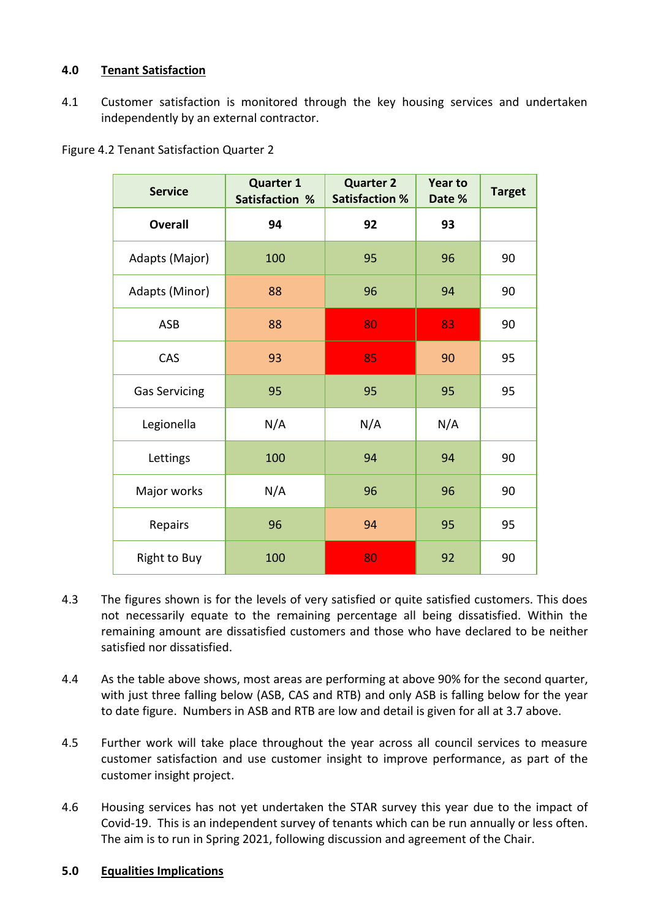# **4.0 Tenant Satisfaction**

4.1 Customer satisfaction is monitored through the key housing services and undertaken independently by an external contractor.

Figure 4.2 Tenant Satisfaction Quarter 2

| <b>Service</b>       | <b>Quarter 1</b><br><b>Satisfaction %</b> | <b>Quarter 2</b><br><b>Satisfaction %</b> | <b>Year to</b><br>Date % | <b>Target</b> |
|----------------------|-------------------------------------------|-------------------------------------------|--------------------------|---------------|
| <b>Overall</b>       | 94                                        | 92                                        | 93                       |               |
| Adapts (Major)       | 100                                       | 95                                        | 96                       | 90            |
| Adapts (Minor)       | 88                                        | 96                                        | 94                       | 90            |
| <b>ASB</b>           | 88                                        | 80                                        | 83                       | 90            |
| CAS                  | 93                                        | 85                                        | 90                       | 95            |
| <b>Gas Servicing</b> | 95                                        | 95                                        | 95                       | 95            |
| Legionella           | N/A                                       | N/A                                       | N/A                      |               |
| Lettings             | 100                                       | 94                                        | 94                       | 90            |
| Major works          | N/A                                       | 96                                        | 96                       | 90            |
| Repairs              | 96                                        | 94                                        | 95                       | 95            |
| Right to Buy         | 100                                       | 80                                        | 92                       | 90            |

- 4.3 The figures shown is for the levels of very satisfied or quite satisfied customers. This does not necessarily equate to the remaining percentage all being dissatisfied. Within the remaining amount are dissatisfied customers and those who have declared to be neither satisfied nor dissatisfied.
- 4.4 As the table above shows, most areas are performing at above 90% for the second quarter, with just three falling below (ASB, CAS and RTB) and only ASB is falling below for the year to date figure. Numbers in ASB and RTB are low and detail is given for all at 3.7 above.
- 4.5 Further work will take place throughout the year across all council services to measure customer satisfaction and use customer insight to improve performance, as part of the customer insight project.
- 4.6 Housing services has not yet undertaken the STAR survey this year due to the impact of Covid-19. This is an independent survey of tenants which can be run annually or less often. The aim is to run in Spring 2021, following discussion and agreement of the Chair.

#### **5.0 Equalities Implications**